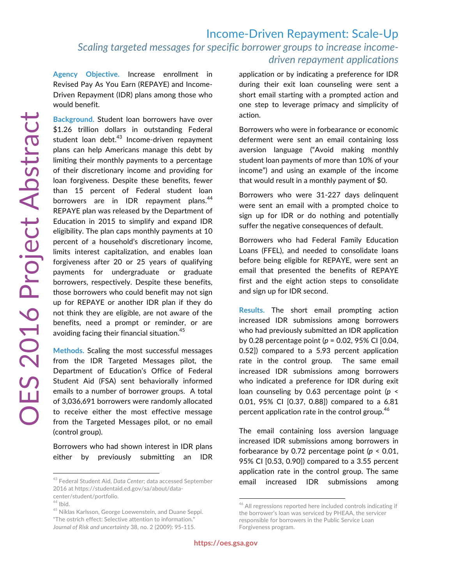**Agency Objective.** Increase enrollment in Revised Pay As You Earn (REPAYE) and Income-Driven Repayment (IDR) plans among those who would benefit.

**Background.** Student loan borrowers have over \$1.26 trillion dollars in outstanding Federal student loan debt. $43$  Income-driven repayment plans can help Americans manage this debt by limiting their monthly payments to a percentage of their discretionary income and providing for loan forgiveness. Despite these benefits, fewer than 15 percent of Federal student loan borrowers are in IDR repayment plans.<sup>44</sup> REPAYE plan was released by the Department of Education in 2015 to simplify and expand IDR eligibility. The plan caps monthly payments at 10 percent of a household's discretionary income, limits interest capitalization, and enables loan forgiveness after 20 or 25 years of qualifying payments for undergraduate or graduate borrowers, respectively. Despite these benefits, those borrowers who could benefit may not sign up for REPAYE or another IDR plan if they do not think they are eligible, are not aware of the benefits, need a prompt or reminder, or are avoiding facing their financial situation.<sup>45</sup>

**Methods.** Scaling the most successful messages from the IDR Targeted Messages pilot, the Department of Education's Office of Federal Student Aid (FSA) sent behaviorally informed emails to a number of borrower groups. A total of 3,036,691 borrowers were randomly allocated to receive either the most effective message from the Targeted Messages pilot, or no email (control group).

Borrowers who had shown interest in IDR plans either by previously submitting an IDR

<sup>45</sup> Niklas Karlsson, George Loewenstein, and Duane Seppi. "The ostrich effect: Selective attention to information." *Journal of Risk and uncertainty* 38, no. 2 (2009): 95-115.

application or by indicating a preference for IDR during their exit loan counseling were sent a short email starting with a prompted action and one step to leverage primacy and simplicity of action.

Borrowers who were in forbearance or economic deferment were sent an email containing loss aversion language ("Avoid making monthly student loan payments of more than 10% of your income") and using an example of the income that would result in a monthly payment of \$0.

Borrowers who were 31-227 days delinquent were sent an email with a prompted choice to sign up for IDR or do nothing and potentially suffer the negative consequences of default.

Borrowers who had Federal Family Education Loans (FFEL), and needed to consolidate loans before being eligible for REPAYE, were sent an email that presented the benefits of REPAYE first and the eight action steps to consolidate and sign up for IDR second.

**Results.** The short email prompting action increased IDR submissions among borrowers who had previously submitted an IDR application by 0.28 percentage point (*p* = 0.02, 95% CI [0.04, 0.52]) compared to a 5.93 percent application rate in the control group. The same email increased IDR submissions among borrowers who indicated a preference for IDR during exit loan counseling by 0.63 percentage point (*p* < 0.01, 95% CI [0.37, 0.88]) compared to a 6.81 percent application rate in the control group.<sup>46</sup>

The email containing loss aversion language increased IDR submissions among borrowers in forbearance by 0.72 percentage point (*p* < 0.01, 95% CI [0.53, 0.90]) compared to a 3.55 percent application rate in the control group. The same email increased IDR submissions among

<sup>43</sup> Federal Student Aid, *Data Center*; data accessed September 2016 at https://studentaid.ed.gov/sa/about/datacenter/student/portfolio.

 $^{44}$  Ibid.

<sup>&</sup>lt;sup>46</sup> All regressions reported here included controls indicating if the borrower's loan was serviced by PHEAA, the servicer responsible for borrowers in the Public Service Loan Forgiveness program.